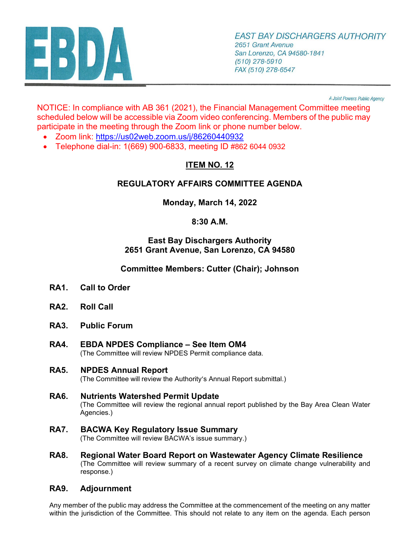

A Joint Powers Public Agency

NOTICE: In compliance with AB 361 (2021), the Financial Management Committee meeting scheduled below will be accessible via Zoom video conferencing. Members of the public may participate in the meeting through the Zoom link or phone number below.

- Zoom link: <https://us02web.zoom.us/j/86260440932>
- Telephone dial-in: 1(669) 900-6833, meeting ID #862 6044 0932

# **ITEM NO. 12**

## **REGULATORY AFFAIRS COMMITTEE AGENDA**

**Monday, March 14, 2022** 

### **8:30 A.M.**

#### **East Bay Dischargers Authority 2651 Grant Avenue, San Lorenzo, CA 94580**

**Committee Members: Cutter (Chair); Johnson**

- **RA1. Call to Order**
- **RA2. Roll Call**
- **RA3. Public Forum**
- **RA4. EBDA NPDES Compliance See Item OM4** (The Committee will review NPDES Permit compliance data.
- **RA5. NPDES Annual Report** (The Committee will review the Authority's Annual Report submittal.)
- **RA6. Nutrients Watershed Permit Update** (The Committee will review the regional annual report published by the Bay Area Clean Water Agencies.)
- **RA7. BACWA Key Regulatory Issue Summary** (The Committee will review BACWA's issue summary.)
- **RA8. Regional Water Board Report on Wastewater Agency Climate Resilience** (The Committee will review summary of a recent survey on climate change vulnerability and response.)

#### **RA9. Adjournment**

Any member of the public may address the Committee at the commencement of the meeting on any matter within the jurisdiction of the Committee. This should not relate to any item on the agenda. Each person